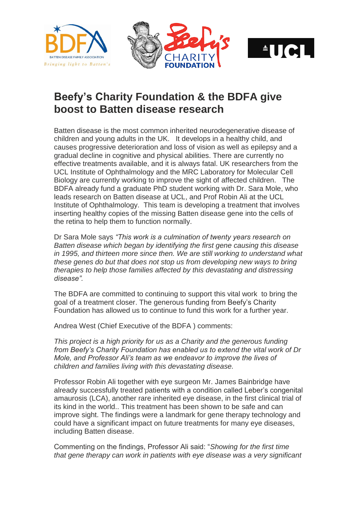





## **Beefy's Charity Foundation & the BDFA give boost to Batten disease research**

Batten disease is the most common inherited neurodegenerative disease of children and young adults in the UK. It develops in a healthy child, and causes progressive deterioration and loss of vision as well as epilepsy and a gradual decline in cognitive and physical abilities. There are currently no effective treatments available, and it is always fatal. UK researchers from the UCL Institute of Ophthalmology and the MRC Laboratory for Molecular Cell Biology are currently working to improve the sight of affected children. The BDFA already fund a graduate PhD student working with Dr. Sara Mole, who leads research on Batten disease at UCL, and Prof Robin Ali at the UCL Institute of Ophthalmology. This team is developing a treatment that involves inserting healthy copies of the missing Batten disease gene into the cells of the retina to help them to function normally.

Dr Sara Mole says *"This work is a culmination of twenty years research on Batten disease which began by identifying the first gene causing this disease in 1995, and thirteen more since then. We are still working to understand what these genes do but that does not stop us from developing new ways to bring therapies to help those families affected by this devastating and distressing disease".*

The BDFA are committed to continuing to support this vital work to bring the goal of a treatment closer. The generous funding from Beefy's Charity Foundation has allowed us to continue to fund this work for a further year.

Andrea West (Chief Executive of the BDFA ) comments:

*This project is a high priority for us as a Charity and the generous funding from Beefy's Charity Foundation has enabled us to extend the vital work of Dr Mole, and Professor Ali's team as we endeavor to improve the lives of children and families living with this devastating disease.* 

Professor Robin Ali together with eye surgeon Mr. James Bainbridge have already successfully treated patients with a condition called Leber's congenital amaurosis (LCA), another rare inherited eye disease, in the first clinical trial of its kind in the world.. This treatment has been shown to be safe and can improve sight. The findings were a landmark for gene therapy technology and could have a significant impact on future treatments for many eye diseases, including Batten disease.

Commenting on the findings, Professor Ali said: "*Showing for the first time that gene therapy can work in patients with eye disease was a very significant*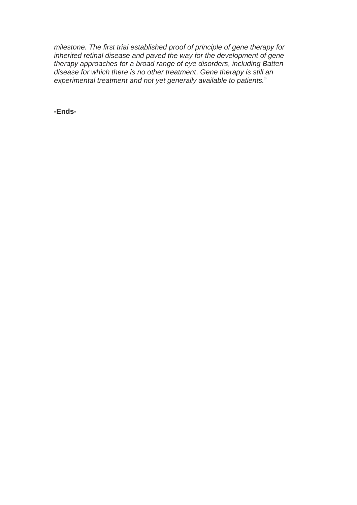*milestone. The first trial established proof of principle of gene therapy for inherited retinal disease and paved the way for the development of gene therapy approaches for a broad range of eye disorders, including Batten disease for which there is no other treatment*. *Gene therapy is still an experimental treatment and not yet generally available to patients.*"

**-Ends-**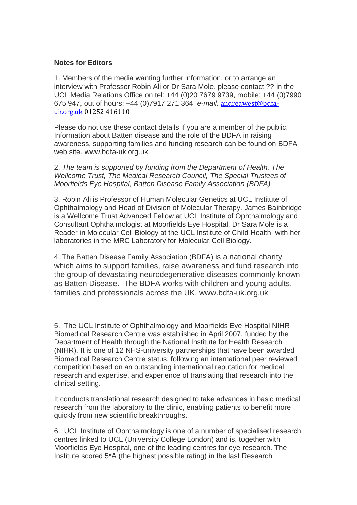## **Notes for Editors**

1. Members of the media wanting further information, or to arrange an interview with Professor Robin Ali or Dr Sara Mole, please contact ?? in the UCL Media Relations Office on tel: +44 (0)20 7679 9739, mobile: +44 (0)7990 675 947, out of hours: +44 (0)7917 271 364, *e-mail:* [andreawest@bdfa](mailto:andreawest@bdfa-uk.org.uk)[uk.org.uk](mailto:andreawest@bdfa-uk.org.uk) 01252 416110

Please do not use these contact details if you are a member of the public. Information about Batten disease and the role of the BDFA in raising awareness, supporting families and funding research can be found on BDFA web site. www.bdfa-uk.org.uk

2. *The team is supported by funding from the Department of Health, The Wellcome Trust, The Medical Research Council, The Special Trustees of Moorfields Eye Hospital, Batten Disease Family Association (BDFA)*

3. Robin Ali is Professor of Human Molecular Genetics at UCL Institute of Ophthalmology and Head of Division of Molecular Therapy. James Bainbridge is a Wellcome Trust Advanced Fellow at UCL Institute of Ophthalmology and Consultant Ophthalmologist at Moorfields Eye Hospital. Dr Sara Mole is a Reader in Molecular Cell Biology at the UCL Institute of Child Health, with her laboratories in the MRC Laboratory for Molecular Cell Biology.

4. The Batten Disease Family Association (BDFA) is a national charity which aims to support families, raise awareness and fund research into the group of devastating neurodegenerative diseases commonly known as Batten Disease. The BDFA works with children and young adults, families and professionals across the UK. www.bdfa-uk.org.uk

5. The UCL Institute of Ophthalmology and Moorfields Eye Hospital NIHR Biomedical Research Centre was established in April 2007, funded by the Department of Health through the National Institute for Health Research (NIHR). It is one of 12 NHS-university partnerships that have been awarded Biomedical Research Centre status, following an international peer reviewed competition based on an outstanding international reputation for medical research and expertise, and experience of translating that research into the clinical setting.

It conducts translational research designed to take advances in basic medical research from the laboratory to the clinic, enabling patients to benefit more quickly from new scientific breakthroughs.

6. UCL Institute of Ophthalmology is one of a number of specialised research centres linked to UCL (University College London) and is, together with Moorfields Eye Hospital, one of the leading centres for eye research. The Institute scored 5\*A (the highest possible rating) in the last Research